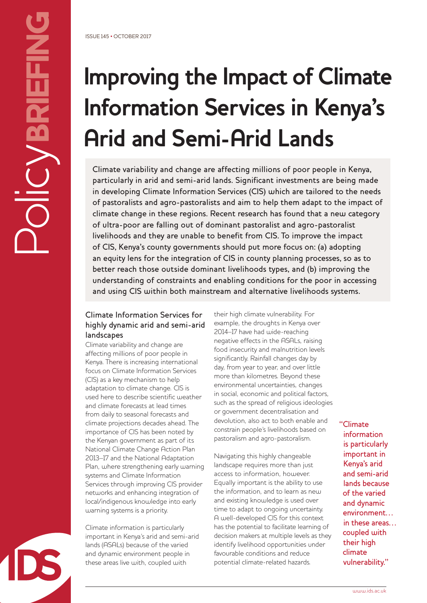# **Improving the Impact of Climate Information Services in Kenya's Arid and Semi-Arid Lands**

Climate variability and change are affecting millions of poor people in Kenya, particularly in arid and semi-arid lands. Significant investments are being made in developing Climate Information Services (CIS) which are tailored to the needs of pastoralists and agro-pastoralists and aim to help them adapt to the impact of climate change in these regions. Recent research has found that a new category of ultra-poor are falling out of dominant pastoralist and agro-pastoralist livelihoods and they are unable to benefit from CIS. To improve the impact of CIS, Kenya's county governments should put more focus on: (a) adopting an equity lens for the integration of CIS in county planning processes, so as to better reach those outside dominant livelihoods types, and (b) improving the understanding of constraints and enabling conditions for the poor in accessing and using CIS within both mainstream and alternative livelihoods systems.

## Climate Information Services for highly dynamic arid and semi-arid landscapes

Climate variability and change are affecting millions of poor people in Kenya. There is increasing international focus on Climate Information Services (CIS) as a key mechanism to help adaptation to climate change. CIS is used here to describe scientific weather and climate forecasts at lead times from daily to seasonal forecasts and climate projections decades ahead. The importance of CIS has been noted by the Kenyan government as part of its National Climate Change Action Plan 2013–17 and the National Adaptation Plan, where strengthening early warning systems and Climate Information Services through improving CIS provider networks and enhancing integration of local/indigenous knowledge into early warning systems is a priority.

Climate information is particularly important in Kenya's arid and semi-arid lands (ASALs) because of the varied and dynamic environment people in these areas live with, coupled with

their high climate vulnerability. For example, the droughts in Kenya over 2014–17 have had wide-reaching negative effects in the ASALs, raising food insecurity and malnutrition levels significantly. Rainfall changes day by day, from year to year, and over little more than kilometres. Beyond these environmental uncertainties, changes in social, economic and political factors, such as the spread of religious ideologies or government decentralisation and devolution, also act to both enable and constrain people's livelihoods based on pastoralism and agro-pastoralism.

Navigating this highly changeable landscape requires more than just access to information, however. Equally important is the ability to use the information, and to learn as new and existing knowledge is used over time to adapt to ongoing uncertainty. A well-developed CIS for this context has the potential to facilitate learning of decision makers at multiple levels as they identify livelihood opportunities under favourable conditions and reduce potential climate-related hazards.

"Climate information is particularly important in Kenya's arid and semi-arid lands because of the varied and dynamic environment… in these areas… coupled with their high climate vulnerability."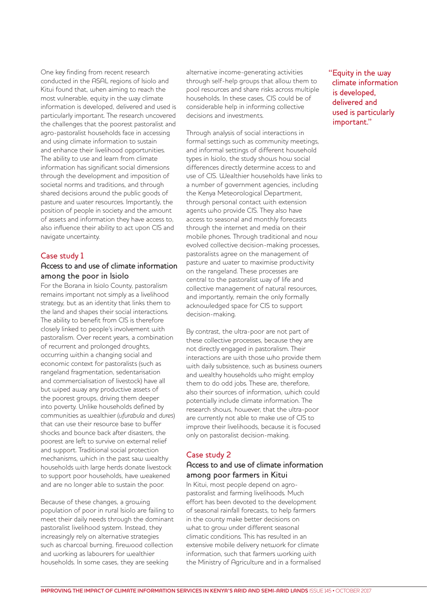One key finding from recent research conducted in the ASAL regions of Isiolo and Kitui found that, when aiming to reach the most vulnerable, equity in the way climate information is developed, delivered and used is particularly important. The research uncovered the challenges that the poorest pastoralist and agro-pastoralist households face in accessing and using climate information to sustain and enhance their livelihood opportunities. The ability to use and learn from climate information has significant social dimensions through the development and imposition of societal norms and traditions, and through shared decisions around the public goods of pasture and water resources. Importantly, the position of people in society and the amount of assets and information they have access to, also influence their ability to act upon CIS and navigate uncertainty.

## Case study 1

## Access to and use of climate information among the poor in Isiolo

For the Borana in Isiolo County, pastoralism remains important not simply as a livelihood strategy, but as an identity that links them to the land and shapes their social interactions. The ability to benefit from CIS is therefore closely linked to people's involvement with pastoralism. Over recent years, a combination of recurrent and prolonged droughts, occurring within a changing social and economic context for pastoralists (such as rangeland fragmentation, sedentarisation and commercialisation of livestock) have all but wiped away any productive assets of the poorest groups, driving them deeper into poverty. Unlike households defined by communities as wealthier (*ufurabula* and *dures*) that can use their resource base to buffer shocks and bounce back after disasters, the poorest are left to survive on external relief and support. Traditional social protection mechanisms, which in the past saw wealthy households with large herds donate livestock to support poor households, have weakened and are no longer able to sustain the poor.

Because of these changes, a growing population of poor in rural Isiolo are failing to meet their daily needs through the dominant pastoralist livelihood system. Instead, they increasingly rely on alternative strategies such as charcoal burning, firewood collection and working as labourers for wealthier households. In some cases, they are seeking

alternative income-generating activities through self-help groups that allow them to pool resources and share risks across multiple households. In these cases, CIS could be of considerable help in informing collective decisions and investments.

Through analysis of social interactions in formal settings such as community meetings, and informal settings of different household types in Isiolo, the study shows how social differences directly determine access to and use of CIS. Wealthier households have links to a number of government agencies, including the Kenya Meteorological Department, through personal contact with extension agents who provide CIS. They also have access to seasonal and monthly forecasts through the internet and media on their mobile phones. Through traditional and now evolved collective decision-making processes, pastoralists agree on the management of pasture and water to maximise productivity on the rangeland. These processes are central to the pastoralist way of life and collective management of natural resources, and importantly, remain the only formally acknowledged space for CIS to support decision-making.

By contrast, the ultra-poor are not part of these collective processes, because they are not directly engaged in pastoralism. Their interactions are with those who provide them with daily subsistence, such as business owners and wealthy households who might employ them to do odd jobs. These are, therefore, also their sources of information, which could potentially include climate information. The research shows, however, that the ultra-poor are currently not able to make use of CIS to improve their livelihoods, because it is focused only on pastoralist decision-making.

#### Case study 2

## Access to and use of climate information among poor farmers in Kitui

In Kitui, most people depend on agropastoralist and farming livelihoods. Much effort has been devoted to the development of seasonal rainfall forecasts, to help farmers in the county make better decisions on what to grow under different seasonal climatic conditions. This has resulted in an extensive mobile delivery network for climate information, such that farmers working with the Ministry of Agriculture and in a formalised "Equity in the way climate information is developed, delivered and used is particularly important."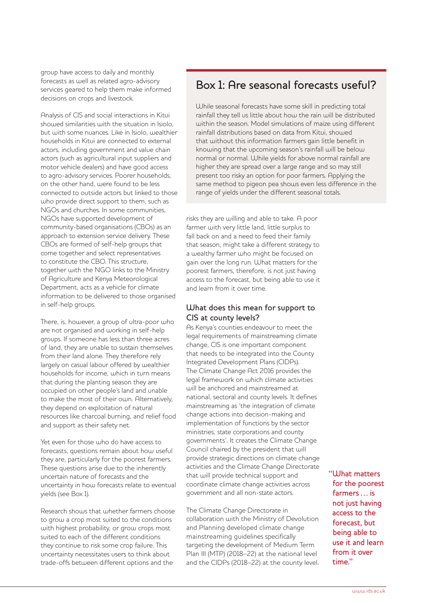group have access to daily and monthly forecasts as well as related agro-advisory services geared to help them make informed decisions on crops and livestock.

Analysis of CIS and social interactions in Kitui showed similarities with the situation in Isiolo, but with some nuances. Like in Isiolo, wealthier households in Kitui are connected to external actors, including government and value chain actors (such as agricultural input suppliers and motor vehicle dealers) and have good access to agro-advisory services. Poorer households, on the other hand, were found to be less connected to outside actors but linked to those who provide direct support to them, such as NGOs and churches. In some communities, NGOs have supported development of community-based organisations (CBOs) as an approach to extension service delivery. These CBOs are formed of self-help groups that come together and select representatives to constitute the CBO. This structure, together with the NGO links to the Ministry of Agriculture and Kenya Meteorological Department, acts as a vehicle for climate information to be delivered to those organised in self-help groups.

There, is, however, a group of ultra-poor who are not organised and working in self-help groups. If someone has less than three acres of land, they are unable to sustain themselves from their land alone. They therefore rely largely on casual labour offered by wealthier households for income, which in turn means that during the planting season they are occupied on other people's land and unable to make the most of their own. Alternatively, they depend on exploitation of natural resources like charcoal burning, and relief food and support as their safety net.

Yet even for those who do have access to forecasts, questions remain about how useful they are, particularly for the poorest farmers. These questions arise due to the inherently uncertain nature of forecasts and the uncertainty in how forecasts relate to eventual yields (see Box 1).

Research shows that whether farmers choose to grow a crop most suited to the conditions with highest probability, or grow crops most suited to each of the different conditions they continue to risk some crop failure. This uncertainty necessitates users to think about trade-offs between different options and the

# Box 1: Are seasonal forecasts useful?

While seasonal forecasts have some skill in predicting total rainfall they tell us little about how the rain will be distributed within the season. Model simulations of maize using different rainfall distributions based on data from Kitui, showed that without this information farmers gain little benefit in knowing that the upcoming season's rainfall will be below normal or normal. While yields for above normal rainfall are higher they are spread over a large range and so may still present too risky an option for poor farmers. Applying the same method to pigeon pea shows even less difference in the range of yields under the different seasonal totals.

risks they are willing and able to take. A poor farmer with very little land, little surplus to fall back on and a need to feed their family that season, might take a different strategy to a wealthy farmer who might be focused on gain over the long run. What matters for the poorest farmers, therefore, is not just having access to the forecast, but being able to use it and learn from it over time.

## What does this mean for support to CIS at county levels?

As Kenya's counties endeavour to meet the legal requirements of mainstreaming climate change, CIS is one important component that needs to be integrated into the County Integrated Development Plans (CIDPs). The Climate Change Act 2016 provides the legal framework on which climate activities will be anchored and mainstreamed at national, sectoral and county levels. It defines mainstreaming as 'the integration of climate change actions into decision-making and implementation of functions by the sector ministries, state corporations and county governments'. It creates the Climate Change Council chaired by the president that will provide strategic directions on climate change activities and the Climate Change Directorate that will provide technical support and coordinate climate change activities across government and all non-state actors.

The Climate Change Directorate in collaboration with the Ministry of Devolution and Planning developed climate change mainstreaming guidelines specifically targeting the development of Medium Term Plan III (MTP) (2018–22) at the national level and the CIDPs (2018–22) at the county level. "What matters for the poorest farmers … is not just having access to the forecast, but being able to use it and learn from it over time."